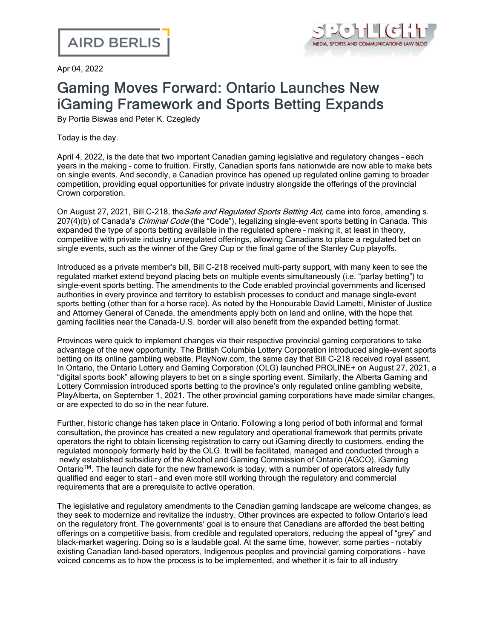Apr 04, 2022



## Gaming Moves Forward: Ontario Launches New iGaming Framework and Sports Betting Expands

By Portia Biswas and Peter K. Czegledy

Today is the day.

April 4, 2022, is the date that two important Canadian gaming legislative and regulatory changes – each years in the making – come to fruition. Firstly, Canadian sports fans nationwide are now able to make bets on single events. And secondly, a Canadian province has opened up regulated online gaming to broader competition, providing equal opportunities for private industry alongside the offerings of the provincial Crown corporation.

On August 27, 2021, Bill [C-218](https://www.canada.ca/en/department-justice/news/2021/08/government-of-canada-announces-coming-into-force-date-of-criminal-codeamendments-on-single-event-sport-betting.html), the Safe and Regulated Sports Betting Act, came into force, amending s. 207(4)(b) of Canada's *Criminal Code* (the "Code"), legalizing single-event sports betting in Canada. This expanded the type of sports betting available in the regulated sphere – making it, at least in theory, competitive with private industry unregulated offerings, allowing Canadians to place a regulated bet on single events, such as the winner of the Grey Cup or the final game of the Stanley Cup playoffs.

Introduced as a private member's bill, Bill C-218 received multi-party support, with many keen to see the regulated market extend beyond placing bets on multiple events simultaneously (i.e. "parlay betting") to single-event sports betting. The amendments to the Code enabled provincial governments and licensed authorities in every province and territory to establish processes to conduct and manage single-event sports betting (other than for a horse race). As noted by the [Honourable](https://www.canada.ca/en/department-justice/news/2021/06/statement-by-minister-lametti-regarding-royal-assent-of-criminal-code-amendments-on-single-event-sport-betting.html) David Lametti, Minister of Justice and Attorney General of Canada, the amendments apply both on land and online, with the hope that gaming facilities near the Canada-U.S. border will also benefit from the expanded betting format.

Provinces were quick to implement changes via their respective provincial gaming corporations to take advantage of the new opportunity. The British Columbia Lottery Corporation introduced single-event sports betting on its online gambling website, PlayNow.com, the [same](https://corporate.bclc.com/articles/our-business/2021/single-event-sports-betting-available-on-playnow-com-tomorrow.html) day that Bill C-218 received royal assent. In Ontario, the Ontario Lottery and Gaming Corporation (OLG) launched [PROLINE+](https://about.olg.ca/olgs-new-proline-digital-sportsbook-among-first-in-canada-to-offer-single-event/) on August 27, 2021, a "digital sports book" allowing players to bet on a single sporting event. Similarly, the Alberta [Gaming](https://aglc.ca/news/play-alberta-adds-sports-betting-roster) and Lottery [Commission](https://aglc.ca/news/play-alberta-adds-sports-betting-roster) introduced sports betting to the province's only regulated online gambling website, PlayAlberta, on September 1, 2021. The other provincial gaming corporations have made similar changes, or are expected to do so in the near future.

Further, historic change has taken place in Ontario. Following a long period of both informal and formal consultation, the province has created a new regulatory and operational framework that permits private operators the right to obtain licensing registration to carry out iGaming directly to customers, ending the regulated monopoly formerly held by the OLG. It will be facilitated, managed and conducted through a newly established subsidiary of the Alcohol and Gaming Commission of Ontario (AGCO), [iGaming](https://igamingontario.ca/en) [Ontario](https://igamingontario.ca/en)<sup>TM</sup>. The launch date for the new framework is today, with a number of operators already fully qualified and eager to start – and even more still working through the regulatory and commercial requirements that are a prerequisite to active operation.

The legislative and regulatory amendments to the Canadian gaming landscape are welcome changes, as they seek to modernize and revitalize the industry. Other provinces are expected to follow Ontario's lead on the regulatory front. The governments' goal is to ensure that Canadians are afforded the best betting offerings on a competitive basis, from credible and regulated operators, reducing the appeal of "grey" and black-market wagering. Doing so is a laudable goal. At the same time, however, some parties – notably existing Canadian land-based operators, Indigenous peoples and provincial gaming corporations – have voiced concerns as to how the process is to be implemented, and whether it is fair to all industry